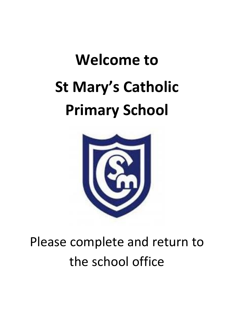# **Welcome to St Mary's Catholic Primary School**



# Please complete and return to the school office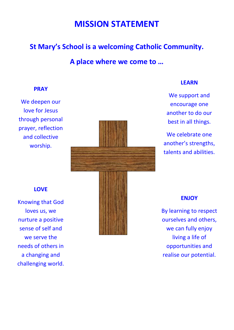# **MISSION STATEMENT**

## **St Mary's School is a welcoming Catholic Community.**

**A place where we come to …**

#### **PRAY**

We deepen our love for Jesus through personal prayer, reflection and collective worship.



#### **LEARN**

We support and encourage one another to do our best in all things.

We celebrate one another's strengths, talents and abilities.

#### **LOVE**

Knowing that God loves us, we nurture a positive sense of self and we serve the needs of others in a changing and challenging world.



#### **ENJOY**

By learning to respect ourselves and others, we can fully enjoy living a life of opportunities and realise our potential.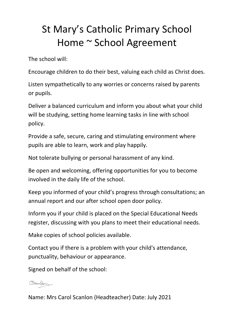# St Mary's Catholic Primary School Home ~ School Agreement

The school will:

Encourage children to do their best, valuing each child as Christ does.

Listen sympathetically to any worries or concerns raised by parents or pupils.

Deliver a balanced curriculum and inform you about what your child will be studying, setting home learning tasks in line with school policy.

Provide a safe, secure, caring and stimulating environment where pupils are able to learn, work and play happily.

Not tolerate bullying or personal harassment of any kind.

Be open and welcoming, offering opportunities for you to become involved in the daily life of the school.

Keep you informed of your child's progress through consultations; an annual report and our after school open door policy.

Inform you if your child is placed on the Special Educational Needs register, discussing with you plans to meet their educational needs.

Make copies of school policies available.

Contact you if there is a problem with your child's attendance, punctuality, behaviour or appearance.

Signed on behalf of the school:

### Craulon

Name: Mrs Carol Scanlon (Headteacher) Date: July 2021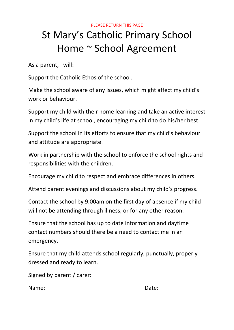#### PLEASE RETURN THIS PAGE

# St Mary's Catholic Primary School Home ~ School Agreement

As a parent, I will:

Support the Catholic Ethos of the school.

Make the school aware of any issues, which might affect my child's work or behaviour.

Support my child with their home learning and take an active interest in my child's life at school, encouraging my child to do his/her best.

Support the school in its efforts to ensure that my child's behaviour and attitude are appropriate.

Work in partnership with the school to enforce the school rights and responsibilities with the children.

Encourage my child to respect and embrace differences in others.

Attend parent evenings and discussions about my child's progress.

Contact the school by 9.00am on the first day of absence if my child will not be attending through illness, or for any other reason.

Ensure that the school has up to date information and daytime contact numbers should there be a need to contact me in an emergency.

Ensure that my child attends school regularly, punctually, properly dressed and ready to learn.

Signed by parent / carer:

Name: Bate: Date: Date: Date: Date: Date: Date: Date: Date: Date: Date: Date: Date: Date: Date:  $\sim$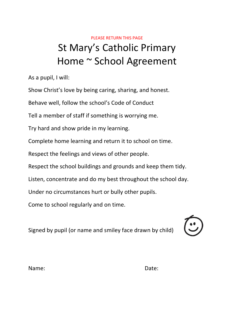# PLEASE RETURN THIS PAGE St Mary's Catholic Primary Home ~ School Agreement

As a pupil, I will:

Show Christ's love by being caring, sharing, and honest.

Behave well, follow the school's Code of Conduct

Tell a member of staff if something is worrying me.

Try hard and show pride in my learning.

Complete home learning and return it to school on time.

Respect the feelings and views of other people.

Respect the school buildings and grounds and keep them tidy.

Listen, concentrate and do my best throughout the school day.

Under no circumstances hurt or bully other pupils.

Come to school regularly and on time.

Signed by pupil (or name and smiley face drawn by child)



Name: Bate: Date: Date: Date: Date: Date: Date: Date: Date: Date: Date: Date: Date: Date: Date:  $\sim$